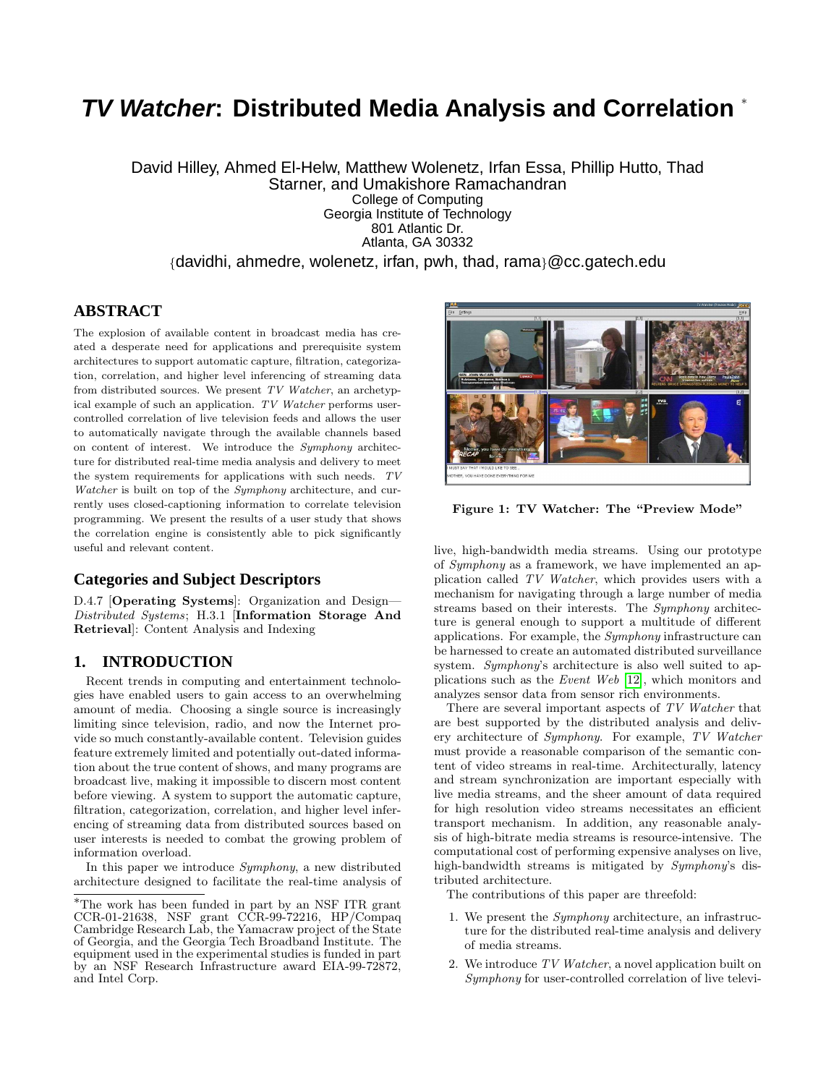# **TV Watcher: Distributed Media Analysis and Correlation** <sup>∗</sup>

David Hilley, Ahmed El-Helw, Matthew Wolenetz, Irfan Essa, Phillip Hutto, Thad Starner, and Umakishore Ramachandran College of Computing Georgia Institute of Technology 801 Atlantic Dr. Atlanta, GA 30332 {davidhi, ahmedre, wolenetz, irfan, pwh, thad, rama}@cc.gatech.edu

## **ABSTRACT**

The explosion of available content in broadcast media has created a desperate need for applications and prerequisite system architectures to support automatic capture, filtration, categorization, correlation, and higher level inferencing of streaming data from distributed sources. We present TV Watcher, an archetypical example of such an application. TV Watcher performs usercontrolled correlation of live television feeds and allows the user to automatically navigate through the available channels based on content of interest. We introduce the Symphony architecture for distributed real-time media analysis and delivery to meet the system requirements for applications with such needs. TV Watcher is built on top of the Symphony architecture, and currently uses closed-captioning information to correlate television programming. We present the results of a user study that shows the correlation engine is consistently able to pick significantly useful and relevant content.

## **Categories and Subject Descriptors**

D.4.7 [Operating Systems]: Organization and Design-Distributed Systems; H.3.1 [Information Storage And Retrieval]: Content Analysis and Indexing

## **1. INTRODUCTION**

Recent trends in computing and entertainment technologies have enabled users to gain access to an overwhelming amount of media. Choosing a single source is increasingly limiting since television, radio, and now the Internet provide so much constantly-available content. Television guides feature extremely limited and potentially out-dated information about the true content of shows, and many programs are broadcast live, making it impossible to discern most content before viewing. A system to support the automatic capture, filtration, categorization, correlation, and higher level inferencing of streaming data from distributed sources based on user interests is needed to combat the growing problem of information overload.

In this paper we introduce Symphony, a new distributed architecture designed to facilitate the real-time analysis of



Figure 1: TV Watcher: The "Preview Mode"

<span id="page-0-0"></span>live, high-bandwidth media streams. Using our prototype of Symphony as a framework, we have implemented an application called TV Watcher, which provides users with a mechanism for navigating through a large number of media streams based on their interests. The Symphony architecture is general enough to support a multitude of different applications. For example, the Symphony infrastructure can be harnessed to create an automated distributed surveillance system. Symphony's architecture is also well suited to applications such as the Event Web [\[12\]](#page-7-0), which monitors and analyzes sensor data from sensor rich environments.

There are several important aspects of TV Watcher that are best supported by the distributed analysis and delivery architecture of Symphony. For example, TV Watcher must provide a reasonable comparison of the semantic content of video streams in real-time. Architecturally, latency and stream synchronization are important especially with live media streams, and the sheer amount of data required for high resolution video streams necessitates an efficient transport mechanism. In addition, any reasonable analysis of high-bitrate media streams is resource-intensive. The computational cost of performing expensive analyses on live, high-bandwidth streams is mitigated by Symphony's distributed architecture.

The contributions of this paper are threefold:

- 1. We present the Symphony architecture, an infrastructure for the distributed real-time analysis and delivery of media streams.
- 2. We introduce TV Watcher, a novel application built on Symphony for user-controlled correlation of live televi-

<sup>∗</sup>The work has been funded in part by an NSF ITR grant CCR-01-21638, NSF grant CCR-99-72216, HP/Compaq Cambridge Research Lab, the Yamacraw project of the State of Georgia, and the Georgia Tech Broadband Institute. The equipment used in the experimental studies is funded in part by an NSF Research Infrastructure award EIA-99-72872, and Intel Corp.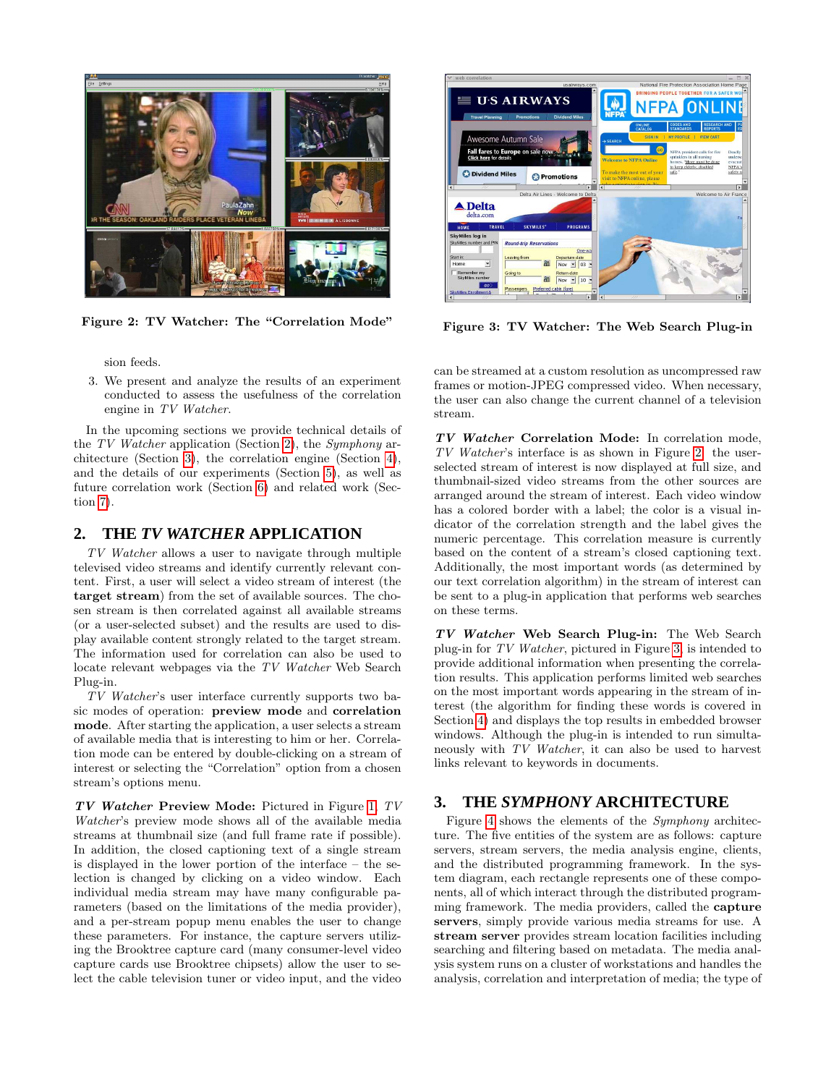

Figure 2: TV Watcher: The "Correlation Mode"

<span id="page-1-2"></span>sion feeds.

3. We present and analyze the results of an experiment conducted to assess the usefulness of the correlation engine in TV Watcher.

In the upcoming sections we provide technical details of the TV Watcher application (Section [2\)](#page-1-0), the Symphony architecture (Section [3\)](#page-1-1), the correlation engine (Section [4\)](#page-3-0), and the details of our experiments (Section [5\)](#page-4-0), as well as future correlation work (Section [6\)](#page-5-0) and related work (Section [7\)](#page-6-0).

## <span id="page-1-0"></span>**2. THE** *TV WATCHER* **APPLICATION**

TV Watcher allows a user to navigate through multiple televised video streams and identify currently relevant content. First, a user will select a video stream of interest (the target stream) from the set of available sources. The chosen stream is then correlated against all available streams (or a user-selected subset) and the results are used to display available content strongly related to the target stream. The information used for correlation can also be used to locate relevant webpages via the TV Watcher Web Search Plug-in.

TV Watcher's user interface currently supports two basic modes of operation: preview mode and correlation mode. After starting the application, a user selects a stream of available media that is interesting to him or her. Correlation mode can be entered by double-clicking on a stream of interest or selecting the "Correlation" option from a chosen stream's options menu.

TV Watcher Preview Mode: Pictured in Figure [1,](#page-0-0) TV Watcher's preview mode shows all of the available media streams at thumbnail size (and full frame rate if possible). In addition, the closed captioning text of a single stream is displayed in the lower portion of the interface – the selection is changed by clicking on a video window. Each individual media stream may have many configurable parameters (based on the limitations of the media provider), and a per-stream popup menu enables the user to change these parameters. For instance, the capture servers utilizing the Brooktree capture card (many consumer-level video capture cards use Brooktree chipsets) allow the user to select the cable television tuner or video input, and the video



Figure 3: TV Watcher: The Web Search Plug-in

<span id="page-1-3"></span>can be streamed at a custom resolution as uncompressed raw frames or motion-JPEG compressed video. When necessary, the user can also change the current channel of a television stream.

TV Watcher Correlation Mode: In correlation mode, TV Watcher's interface is as shown in Figure [2:](#page-1-2) the userselected stream of interest is now displayed at full size, and thumbnail-sized video streams from the other sources are arranged around the stream of interest. Each video window has a colored border with a label; the color is a visual indicator of the correlation strength and the label gives the numeric percentage. This correlation measure is currently based on the content of a stream's closed captioning text. Additionally, the most important words (as determined by our text correlation algorithm) in the stream of interest can be sent to a plug-in application that performs web searches on these terms.

TV Watcher Web Search Plug-in: The Web Search plug-in for TV Watcher, pictured in Figure [3,](#page-1-3) is intended to provide additional information when presenting the correlation results. This application performs limited web searches on the most important words appearing in the stream of interest (the algorithm for finding these words is covered in Section [4\)](#page-3-0) and displays the top results in embedded browser windows. Although the plug-in is intended to run simultaneously with TV Watcher, it can also be used to harvest links relevant to keywords in documents.

# <span id="page-1-1"></span>**3. THE** *SYMPHONY* **ARCHITECTURE**

Figure [4](#page-2-0) shows the elements of the Symphony architecture. The five entities of the system are as follows: capture servers, stream servers, the media analysis engine, clients, and the distributed programming framework. In the system diagram, each rectangle represents one of these components, all of which interact through the distributed programming framework. The media providers, called the capture servers, simply provide various media streams for use. A stream server provides stream location facilities including searching and filtering based on metadata. The media analysis system runs on a cluster of workstations and handles the analysis, correlation and interpretation of media; the type of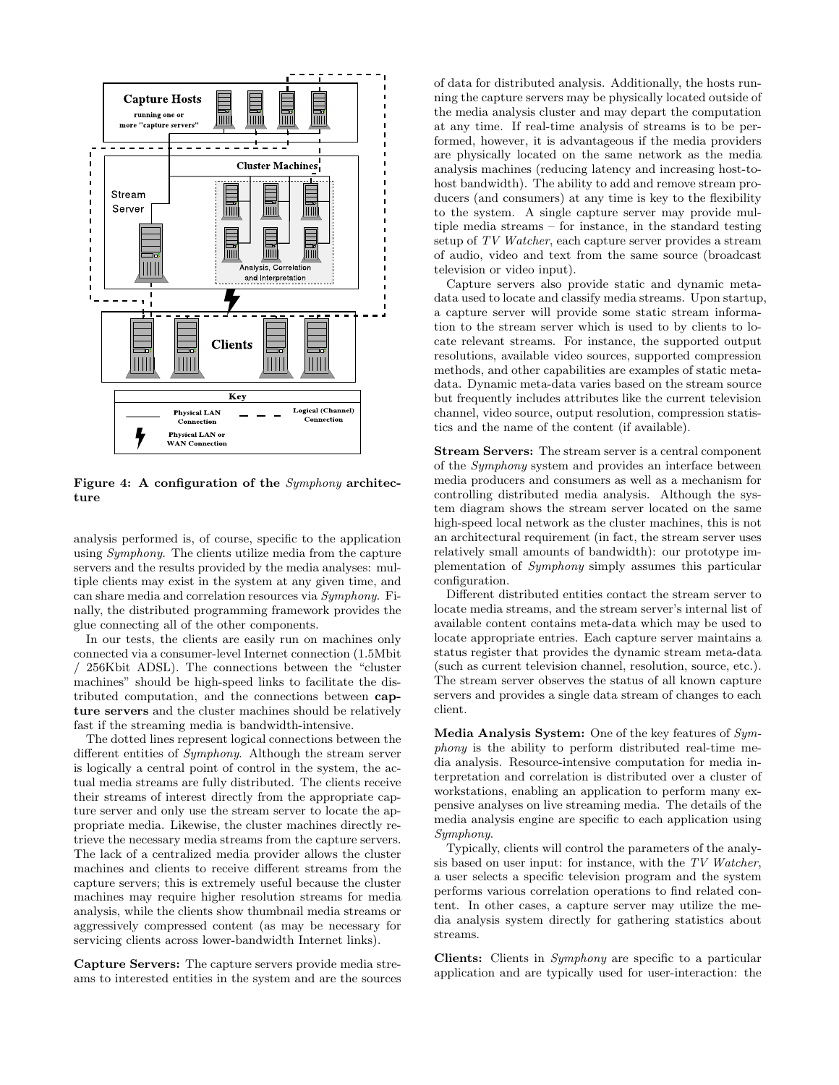

<span id="page-2-0"></span>Figure 4: A configuration of the Symphony architecture

analysis performed is, of course, specific to the application using Symphony. The clients utilize media from the capture servers and the results provided by the media analyses: multiple clients may exist in the system at any given time, and can share media and correlation resources via Symphony. Finally, the distributed programming framework provides the glue connecting all of the other components.

In our tests, the clients are easily run on machines only connected via a consumer-level Internet connection (1.5Mbit / 256Kbit ADSL). The connections between the "cluster machines" should be high-speed links to facilitate the distributed computation, and the connections between capture servers and the cluster machines should be relatively fast if the streaming media is bandwidth-intensive.

The dotted lines represent logical connections between the different entities of Symphony. Although the stream server is logically a central point of control in the system, the actual media streams are fully distributed. The clients receive their streams of interest directly from the appropriate capture server and only use the stream server to locate the appropriate media. Likewise, the cluster machines directly retrieve the necessary media streams from the capture servers. The lack of a centralized media provider allows the cluster machines and clients to receive different streams from the capture servers; this is extremely useful because the cluster machines may require higher resolution streams for media analysis, while the clients show thumbnail media streams or aggressively compressed content (as may be necessary for servicing clients across lower-bandwidth Internet links).

Capture Servers: The capture servers provide media streams to interested entities in the system and are the sources of data for distributed analysis. Additionally, the hosts running the capture servers may be physically located outside of the media analysis cluster and may depart the computation at any time. If real-time analysis of streams is to be performed, however, it is advantageous if the media providers are physically located on the same network as the media analysis machines (reducing latency and increasing host-tohost bandwidth). The ability to add and remove stream producers (and consumers) at any time is key to the flexibility to the system. A single capture server may provide multiple media streams – for instance, in the standard testing setup of TV Watcher, each capture server provides a stream of audio, video and text from the same source (broadcast television or video input).

Capture servers also provide static and dynamic metadata used to locate and classify media streams. Upon startup, a capture server will provide some static stream information to the stream server which is used to by clients to locate relevant streams. For instance, the supported output resolutions, available video sources, supported compression methods, and other capabilities are examples of static metadata. Dynamic meta-data varies based on the stream source but frequently includes attributes like the current television channel, video source, output resolution, compression statistics and the name of the content (if available).

Stream Servers: The stream server is a central component of the Symphony system and provides an interface between media producers and consumers as well as a mechanism for controlling distributed media analysis. Although the system diagram shows the stream server located on the same high-speed local network as the cluster machines, this is not an architectural requirement (in fact, the stream server uses relatively small amounts of bandwidth): our prototype implementation of Symphony simply assumes this particular configuration.

Different distributed entities contact the stream server to locate media streams, and the stream server's internal list of available content contains meta-data which may be used to locate appropriate entries. Each capture server maintains a status register that provides the dynamic stream meta-data (such as current television channel, resolution, source, etc.). The stream server observes the status of all known capture servers and provides a single data stream of changes to each client.

Media Analysis System: One of the key features of Symphony is the ability to perform distributed real-time media analysis. Resource-intensive computation for media interpretation and correlation is distributed over a cluster of workstations, enabling an application to perform many expensive analyses on live streaming media. The details of the media analysis engine are specific to each application using Symphony.

Typically, clients will control the parameters of the analysis based on user input: for instance, with the TV Watcher, a user selects a specific television program and the system performs various correlation operations to find related content. In other cases, a capture server may utilize the media analysis system directly for gathering statistics about streams.

Clients: Clients in Symphony are specific to a particular application and are typically used for user-interaction: the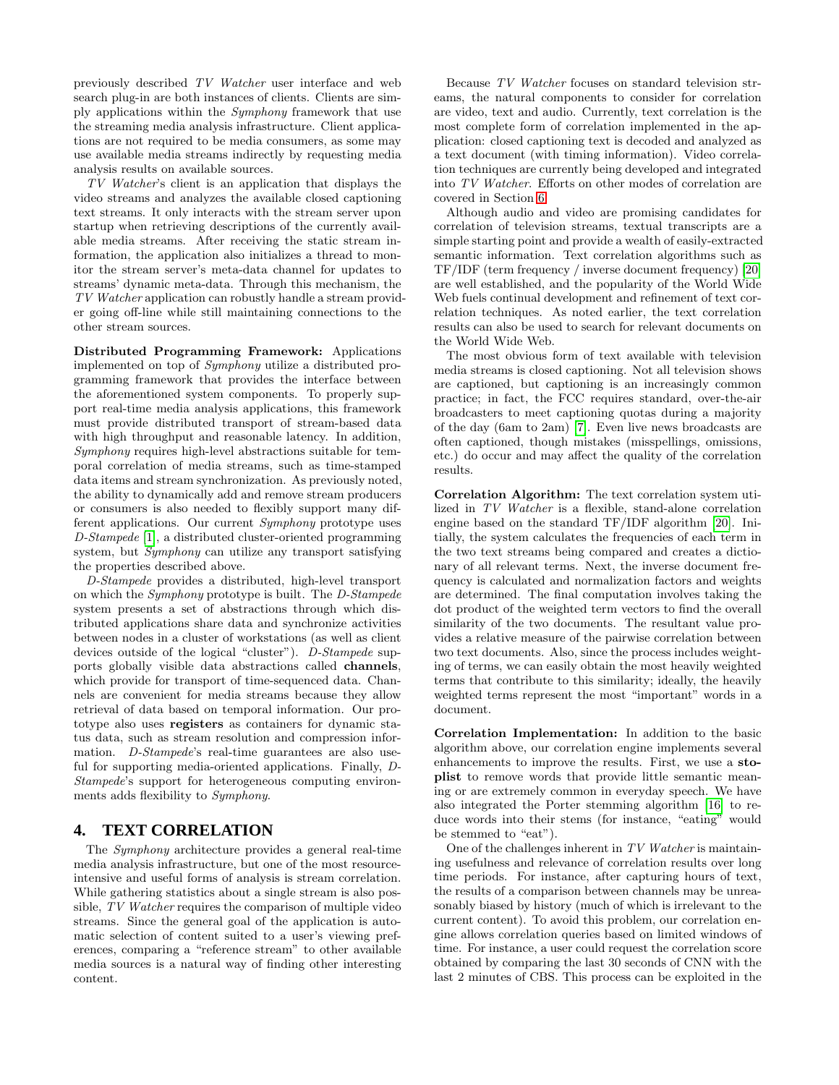previously described TV Watcher user interface and web search plug-in are both instances of clients. Clients are simply applications within the Symphony framework that use the streaming media analysis infrastructure. Client applications are not required to be media consumers, as some may use available media streams indirectly by requesting media analysis results on available sources.

TV Watcher's client is an application that displays the video streams and analyzes the available closed captioning text streams. It only interacts with the stream server upon startup when retrieving descriptions of the currently available media streams. After receiving the static stream information, the application also initializes a thread to monitor the stream server's meta-data channel for updates to streams' dynamic meta-data. Through this mechanism, the TV Watcher application can robustly handle a stream provider going off-line while still maintaining connections to the other stream sources.

Distributed Programming Framework: Applications implemented on top of Symphony utilize a distributed programming framework that provides the interface between the aforementioned system components. To properly support real-time media analysis applications, this framework must provide distributed transport of stream-based data with high throughput and reasonable latency. In addition, Symphony requires high-level abstractions suitable for temporal correlation of media streams, such as time-stamped data items and stream synchronization. As previously noted, the ability to dynamically add and remove stream producers or consumers is also needed to flexibly support many different applications. Our current Symphony prototype uses D-Stampede [\[1\]](#page-7-1), a distributed cluster-oriented programming system, but *Symphony* can utilize any transport satisfying the properties described above.

D-Stampede provides a distributed, high-level transport on which the Symphony prototype is built. The D-Stampede system presents a set of abstractions through which distributed applications share data and synchronize activities between nodes in a cluster of workstations (as well as client devices outside of the logical "cluster"). D-Stampede supports globally visible data abstractions called channels, which provide for transport of time-sequenced data. Channels are convenient for media streams because they allow retrieval of data based on temporal information. Our prototype also uses registers as containers for dynamic status data, such as stream resolution and compression information. D-Stampede's real-time guarantees are also useful for supporting media-oriented applications. Finally, D-Stampede's support for heterogeneous computing environments adds flexibility to Symphony.

## <span id="page-3-0"></span>**4. TEXT CORRELATION**

The Symphony architecture provides a general real-time media analysis infrastructure, but one of the most resourceintensive and useful forms of analysis is stream correlation. While gathering statistics about a single stream is also possible, TV Watcher requires the comparison of multiple video streams. Since the general goal of the application is automatic selection of content suited to a user's viewing preferences, comparing a "reference stream" to other available media sources is a natural way of finding other interesting content.

Because TV Watcher focuses on standard television streams, the natural components to consider for correlation are video, text and audio. Currently, text correlation is the most complete form of correlation implemented in the application: closed captioning text is decoded and analyzed as a text document (with timing information). Video correlation techniques are currently being developed and integrated into TV Watcher. Efforts on other modes of correlation are covered in Section [6.](#page-5-0)

Although audio and video are promising candidates for correlation of television streams, textual transcripts are a simple starting point and provide a wealth of easily-extracted semantic information. Text correlation algorithms such as TF/IDF (term frequency / inverse document frequency) [\[20\]](#page-7-2) are well established, and the popularity of the World Wide Web fuels continual development and refinement of text correlation techniques. As noted earlier, the text correlation results can also be used to search for relevant documents on the World Wide Web.

The most obvious form of text available with television media streams is closed captioning. Not all television shows are captioned, but captioning is an increasingly common practice; in fact, the FCC requires standard, over-the-air broadcasters to meet captioning quotas during a majority of the day (6am to 2am) [\[7\]](#page-7-3). Even live news broadcasts are often captioned, though mistakes (misspellings, omissions, etc.) do occur and may affect the quality of the correlation results.

Correlation Algorithm: The text correlation system utilized in TV Watcher is a flexible, stand-alone correlation engine based on the standard TF/IDF algorithm [\[20\]](#page-7-2). Initially, the system calculates the frequencies of each term in the two text streams being compared and creates a dictionary of all relevant terms. Next, the inverse document frequency is calculated and normalization factors and weights are determined. The final computation involves taking the dot product of the weighted term vectors to find the overall similarity of the two documents. The resultant value provides a relative measure of the pairwise correlation between two text documents. Also, since the process includes weighting of terms, we can easily obtain the most heavily weighted terms that contribute to this similarity; ideally, the heavily weighted terms represent the most "important" words in a document.

Correlation Implementation: In addition to the basic algorithm above, our correlation engine implements several enhancements to improve the results. First, we use a stoplist to remove words that provide little semantic meaning or are extremely common in everyday speech. We have also integrated the Porter stemming algorithm [\[16\]](#page-7-4) to reduce words into their stems (for instance, "eating" would be stemmed to "eat").

One of the challenges inherent in TV Watcher is maintaining usefulness and relevance of correlation results over long time periods. For instance, after capturing hours of text, the results of a comparison between channels may be unreasonably biased by history (much of which is irrelevant to the current content). To avoid this problem, our correlation engine allows correlation queries based on limited windows of time. For instance, a user could request the correlation score obtained by comparing the last 30 seconds of CNN with the last 2 minutes of CBS. This process can be exploited in the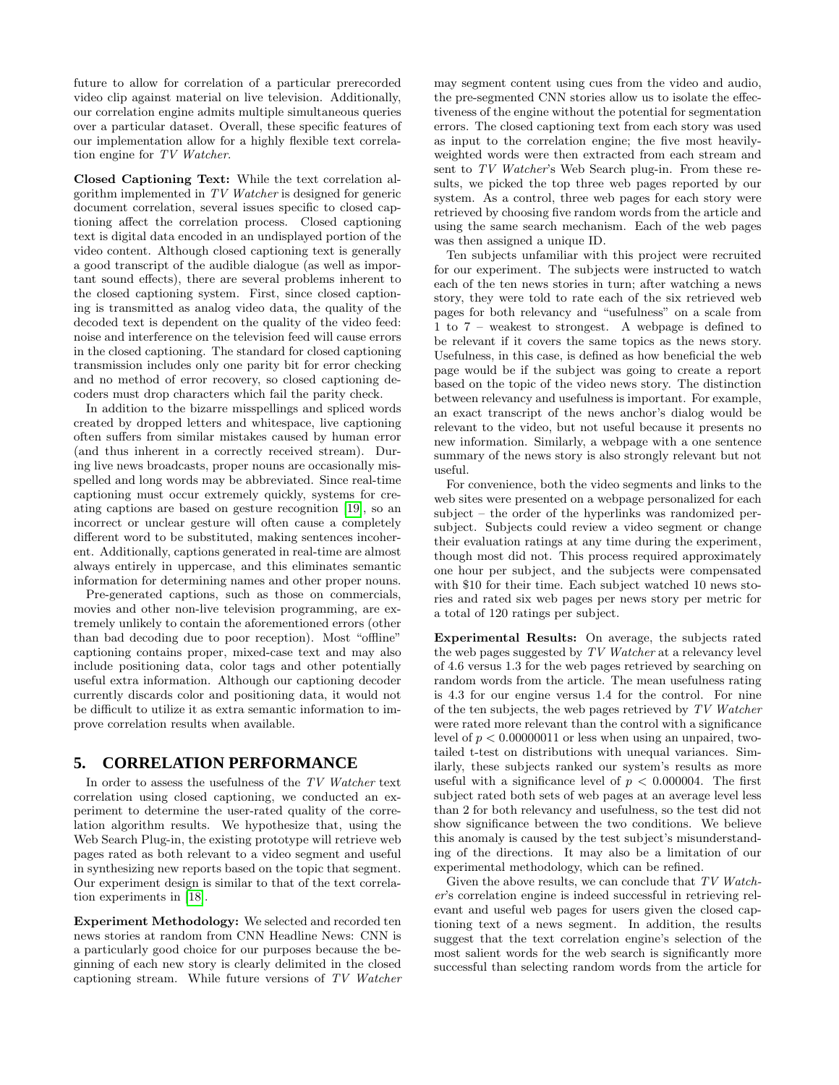future to allow for correlation of a particular prerecorded video clip against material on live television. Additionally, our correlation engine admits multiple simultaneous queries over a particular dataset. Overall, these specific features of our implementation allow for a highly flexible text correlation engine for TV Watcher.

Closed Captioning Text: While the text correlation algorithm implemented in TV Watcher is designed for generic document correlation, several issues specific to closed captioning affect the correlation process. Closed captioning text is digital data encoded in an undisplayed portion of the video content. Although closed captioning text is generally a good transcript of the audible dialogue (as well as important sound effects), there are several problems inherent to the closed captioning system. First, since closed captioning is transmitted as analog video data, the quality of the decoded text is dependent on the quality of the video feed: noise and interference on the television feed will cause errors in the closed captioning. The standard for closed captioning transmission includes only one parity bit for error checking and no method of error recovery, so closed captioning decoders must drop characters which fail the parity check.

In addition to the bizarre misspellings and spliced words created by dropped letters and whitespace, live captioning often suffers from similar mistakes caused by human error (and thus inherent in a correctly received stream). During live news broadcasts, proper nouns are occasionally misspelled and long words may be abbreviated. Since real-time captioning must occur extremely quickly, systems for creating captions are based on gesture recognition [\[19\]](#page-7-5), so an incorrect or unclear gesture will often cause a completely different word to be substituted, making sentences incoherent. Additionally, captions generated in real-time are almost always entirely in uppercase, and this eliminates semantic information for determining names and other proper nouns.

Pre-generated captions, such as those on commercials, movies and other non-live television programming, are extremely unlikely to contain the aforementioned errors (other than bad decoding due to poor reception). Most "offline" captioning contains proper, mixed-case text and may also include positioning data, color tags and other potentially useful extra information. Although our captioning decoder currently discards color and positioning data, it would not be difficult to utilize it as extra semantic information to improve correlation results when available.

#### <span id="page-4-0"></span>**5. CORRELATION PERFORMANCE**

In order to assess the usefulness of the TV Watcher text correlation using closed captioning, we conducted an experiment to determine the user-rated quality of the correlation algorithm results. We hypothesize that, using the Web Search Plug-in, the existing prototype will retrieve web pages rated as both relevant to a video segment and useful in synthesizing new reports based on the topic that segment. Our experiment design is similar to that of the text correlation experiments in [\[18\]](#page-7-6).

Experiment Methodology: We selected and recorded ten news stories at random from CNN Headline News: CNN is a particularly good choice for our purposes because the beginning of each new story is clearly delimited in the closed captioning stream. While future versions of TV Watcher

may segment content using cues from the video and audio, the pre-segmented CNN stories allow us to isolate the effectiveness of the engine without the potential for segmentation errors. The closed captioning text from each story was used as input to the correlation engine; the five most heavilyweighted words were then extracted from each stream and sent to TV Watcher's Web Search plug-in. From these results, we picked the top three web pages reported by our system. As a control, three web pages for each story were retrieved by choosing five random words from the article and using the same search mechanism. Each of the web pages was then assigned a unique ID.

Ten subjects unfamiliar with this project were recruited for our experiment. The subjects were instructed to watch each of the ten news stories in turn; after watching a news story, they were told to rate each of the six retrieved web pages for both relevancy and "usefulness" on a scale from 1 to 7 – weakest to strongest. A webpage is defined to be relevant if it covers the same topics as the news story. Usefulness, in this case, is defined as how beneficial the web page would be if the subject was going to create a report based on the topic of the video news story. The distinction between relevancy and usefulness is important. For example, an exact transcript of the news anchor's dialog would be relevant to the video, but not useful because it presents no new information. Similarly, a webpage with a one sentence summary of the news story is also strongly relevant but not useful.

For convenience, both the video segments and links to the web sites were presented on a webpage personalized for each subject – the order of the hyperlinks was randomized persubject. Subjects could review a video segment or change their evaluation ratings at any time during the experiment, though most did not. This process required approximately one hour per subject, and the subjects were compensated with \$10 for their time. Each subject watched 10 news stories and rated six web pages per news story per metric for a total of 120 ratings per subject.

Experimental Results: On average, the subjects rated the web pages suggested by TV Watcher at a relevancy level of 4.6 versus 1.3 for the web pages retrieved by searching on random words from the article. The mean usefulness rating is 4.3 for our engine versus 1.4 for the control. For nine of the ten subjects, the web pages retrieved by TV Watcher were rated more relevant than the control with a significance level of  $p < 0.00000011$  or less when using an unpaired, twotailed t-test on distributions with unequal variances. Similarly, these subjects ranked our system's results as more useful with a significance level of  $p < 0.000004$ . The first subject rated both sets of web pages at an average level less than 2 for both relevancy and usefulness, so the test did not show significance between the two conditions. We believe this anomaly is caused by the test subject's misunderstanding of the directions. It may also be a limitation of our experimental methodology, which can be refined.

Given the above results, we can conclude that TV Watcher's correlation engine is indeed successful in retrieving relevant and useful web pages for users given the closed captioning text of a news segment. In addition, the results suggest that the text correlation engine's selection of the most salient words for the web search is significantly more successful than selecting random words from the article for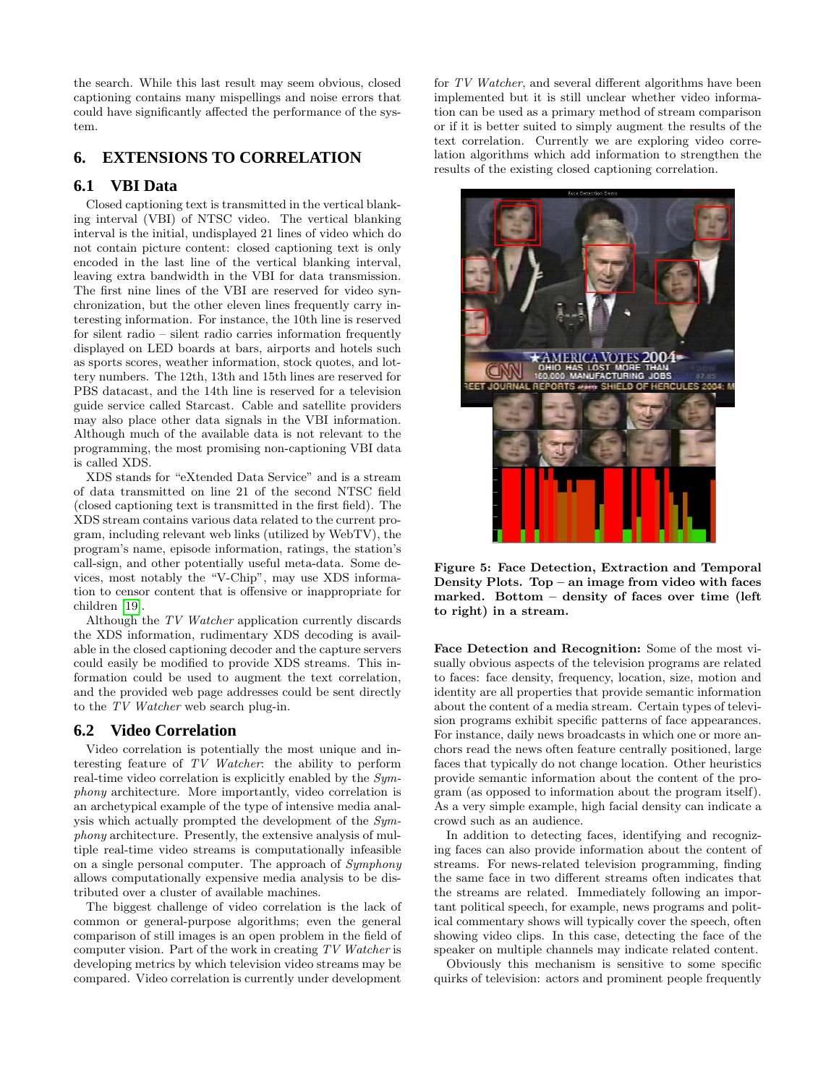the search. While this last result may seem obvious, closed captioning contains many mispellings and noise errors that could have significantly affected the performance of the system.

# <span id="page-5-0"></span>**6. EXTENSIONS TO CORRELATION**

## **6.1 VBI Data**

Closed captioning text is transmitted in the vertical blanking interval (VBI) of NTSC video. The vertical blanking interval is the initial, undisplayed 21 lines of video which do not contain picture content: closed captioning text is only encoded in the last line of the vertical blanking interval, leaving extra bandwidth in the VBI for data transmission. The first nine lines of the VBI are reserved for video synchronization, but the other eleven lines frequently carry interesting information. For instance, the 10th line is reserved for silent radio – silent radio carries information frequently displayed on LED boards at bars, airports and hotels such as sports scores, weather information, stock quotes, and lottery numbers. The 12th, 13th and 15th lines are reserved for PBS datacast, and the 14th line is reserved for a television guide service called Starcast. Cable and satellite providers may also place other data signals in the VBI information. Although much of the available data is not relevant to the programming, the most promising non-captioning VBI data is called XDS.

XDS stands for "eXtended Data Service" and is a stream of data transmitted on line 21 of the second NTSC field (closed captioning text is transmitted in the first field). The XDS stream contains various data related to the current program, including relevant web links (utilized by WebTV), the program's name, episode information, ratings, the station's call-sign, and other potentially useful meta-data. Some devices, most notably the "V-Chip", may use XDS information to censor content that is offensive or inappropriate for children [\[19\]](#page-7-5).

Although the TV Watcher application currently discards the XDS information, rudimentary XDS decoding is available in the closed captioning decoder and the capture servers could easily be modified to provide XDS streams. This information could be used to augment the text correlation, and the provided web page addresses could be sent directly to the TV Watcher web search plug-in.

#### **6.2 Video Correlation**

Video correlation is potentially the most unique and interesting feature of TV Watcher: the ability to perform real-time video correlation is explicitly enabled by the Symphony architecture. More importantly, video correlation is an archetypical example of the type of intensive media analysis which actually prompted the development of the Symphony architecture. Presently, the extensive analysis of multiple real-time video streams is computationally infeasible on a single personal computer. The approach of Symphony allows computationally expensive media analysis to be distributed over a cluster of available machines.

The biggest challenge of video correlation is the lack of common or general-purpose algorithms; even the general comparison of still images is an open problem in the field of computer vision. Part of the work in creating TV Watcher is developing metrics by which television video streams may be compared. Video correlation is currently under development

for TV Watcher, and several different algorithms have been implemented but it is still unclear whether video information can be used as a primary method of stream comparison or if it is better suited to simply augment the results of the text correlation. Currently we are exploring video correlation algorithms which add information to strengthen the results of the existing closed captioning correlation.



Figure 5: Face Detection, Extraction and Temporal Density Plots. Top – an image from video with faces marked. Bottom – density of faces over time (left to right) in a stream.

<span id="page-5-1"></span>Face Detection and Recognition: Some of the most visually obvious aspects of the television programs are related to faces: face density, frequency, location, size, motion and identity are all properties that provide semantic information about the content of a media stream. Certain types of television programs exhibit specific patterns of face appearances. For instance, daily news broadcasts in which one or more anchors read the news often feature centrally positioned, large faces that typically do not change location. Other heuristics provide semantic information about the content of the program (as opposed to information about the program itself). As a very simple example, high facial density can indicate a crowd such as an audience.

In addition to detecting faces, identifying and recognizing faces can also provide information about the content of streams. For news-related television programming, finding the same face in two different streams often indicates that the streams are related. Immediately following an important political speech, for example, news programs and political commentary shows will typically cover the speech, often showing video clips. In this case, detecting the face of the speaker on multiple channels may indicate related content.

Obviously this mechanism is sensitive to some specific quirks of television: actors and prominent people frequently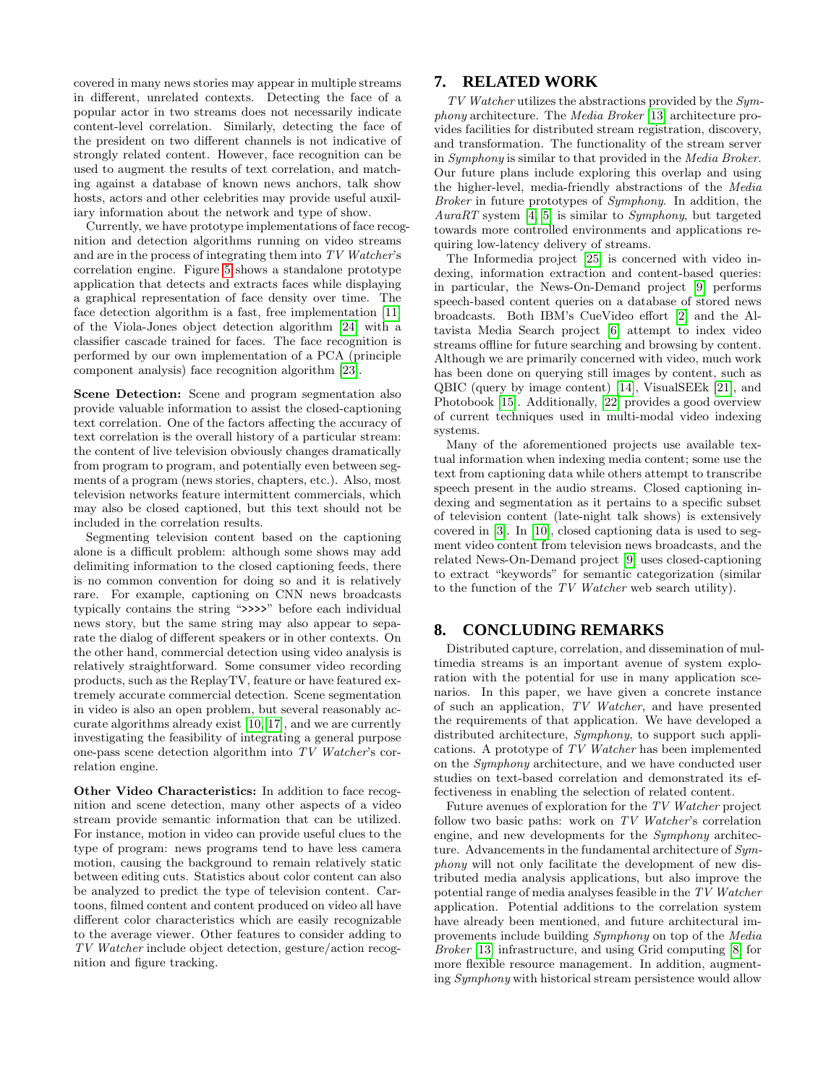covered in many news stories may appear in multiple streams in different, unrelated contexts. Detecting the face of a popular actor in two streams does not necessarily indicate content-level correlation. Similarly, detecting the face of the president on two different channels is not indicative of strongly related content. However, face recognition can be used to augment the results of text correlation, and matching against a database of known news anchors, talk show hosts, actors and other celebrities may provide useful auxiliary information about the network and type of show.

Currently, we have prototype implementations of face recognition and detection algorithms running on video streams and are in the process of integrating them into TV Watcher's correlation engine. Figure [5](#page-5-1) shows a standalone prototype application that detects and extracts faces while displaying a graphical representation of face density over time. The face detection algorithm is a fast, free implementation [\[11\]](#page-7-7) of the Viola-Jones object detection algorithm [\[24\]](#page-7-8) with a classifier cascade trained for faces. The face recognition is performed by our own implementation of a PCA (principle component analysis) face recognition algorithm [\[23\]](#page-7-9).

Scene Detection: Scene and program segmentation also provide valuable information to assist the closed-captioning text correlation. One of the factors affecting the accuracy of text correlation is the overall history of a particular stream: the content of live television obviously changes dramatically from program to program, and potentially even between segments of a program (news stories, chapters, etc.). Also, most television networks feature intermittent commercials, which may also be closed captioned, but this text should not be included in the correlation results.

Segmenting television content based on the captioning alone is a difficult problem: although some shows may add delimiting information to the closed captioning feeds, there is no common convention for doing so and it is relatively rare. For example, captioning on CNN news broadcasts typically contains the string ">>>>" before each individual news story, but the same string may also appear to separate the dialog of different speakers or in other contexts. On the other hand, commercial detection using video analysis is relatively straightforward. Some consumer video recording products, such as the ReplayTV, feature or have featured extremely accurate commercial detection. Scene segmentation in video is also an open problem, but several reasonably accurate algorithms already exist [\[10,](#page-7-10) [17\]](#page-7-11), and we are currently investigating the feasibility of integrating a general purpose one-pass scene detection algorithm into TV Watcher's correlation engine.

Other Video Characteristics: In addition to face recognition and scene detection, many other aspects of a video stream provide semantic information that can be utilized. For instance, motion in video can provide useful clues to the type of program: news programs tend to have less camera motion, causing the background to remain relatively static between editing cuts. Statistics about color content can also be analyzed to predict the type of television content. Cartoons, filmed content and content produced on video all have different color characteristics which are easily recognizable to the average viewer. Other features to consider adding to TV Watcher include object detection, gesture/action recognition and figure tracking.

## <span id="page-6-0"></span>**7. RELATED WORK**

 $TV$  Watcher utilizes the abstractions provided by the  $Sym$ phony architecture. The Media Broker [\[13\]](#page-7-12) architecture provides facilities for distributed stream registration, discovery, and transformation. The functionality of the stream server in Symphony is similar to that provided in the Media Broker. Our future plans include exploring this overlap and using the higher-level, media-friendly abstractions of the Media Broker in future prototypes of Symphony. In addition, the AuraRT system [\[4,](#page-7-13) [5\]](#page-7-14) is similar to Symphony, but targeted towards more controlled environments and applications requiring low-latency delivery of streams.

The Informedia project [\[25\]](#page-7-15) is concerned with video indexing, information extraction and content-based queries: in particular, the News-On-Demand project [\[9\]](#page-7-16) performs speech-based content queries on a database of stored news broadcasts. Both IBM's CueVideo effort [\[2\]](#page-7-17) and the Altavista Media Search project [\[6\]](#page-7-18) attempt to index video streams offline for future searching and browsing by content. Although we are primarily concerned with video, much work has been done on querying still images by content, such as QBIC (query by image content) [\[14\]](#page-7-19), VisualSEEk [\[21\]](#page-7-20), and Photobook [\[15\]](#page-7-21). Additionally, [\[22\]](#page-7-22) provides a good overview of current techniques used in multi-modal video indexing systems.

Many of the aforementioned projects use available textual information when indexing media content; some use the text from captioning data while others attempt to transcribe speech present in the audio streams. Closed captioning indexing and segmentation as it pertains to a specific subset of television content (late-night talk shows) is extensively covered in [\[3\]](#page-7-23). In [\[10\]](#page-7-10), closed captioning data is used to segment video content from television news broadcasts, and the related News-On-Demand project [\[9\]](#page-7-16) uses closed-captioning to extract "keywords" for semantic categorization (similar to the function of the TV Watcher web search utility).

# **8. CONCLUDING REMARKS**

Distributed capture, correlation, and dissemination of multimedia streams is an important avenue of system exploration with the potential for use in many application scenarios. In this paper, we have given a concrete instance of such an application, TV Watcher, and have presented the requirements of that application. We have developed a distributed architecture, *Symphony*, to support such applications. A prototype of TV Watcher has been implemented on the Symphony architecture, and we have conducted user studies on text-based correlation and demonstrated its effectiveness in enabling the selection of related content.

Future avenues of exploration for the TV Watcher project follow two basic paths: work on TV Watcher's correlation engine, and new developments for the Symphony architecture. Advancements in the fundamental architecture of  $Sym$ phony will not only facilitate the development of new distributed media analysis applications, but also improve the potential range of media analyses feasible in the TV Watcher application. Potential additions to the correlation system have already been mentioned, and future architectural improvements include building Symphony on top of the Media Broker [\[13\]](#page-7-12) infrastructure, and using Grid computing [\[8\]](#page-7-24) for more flexible resource management. In addition, augmenting Symphony with historical stream persistence would allow